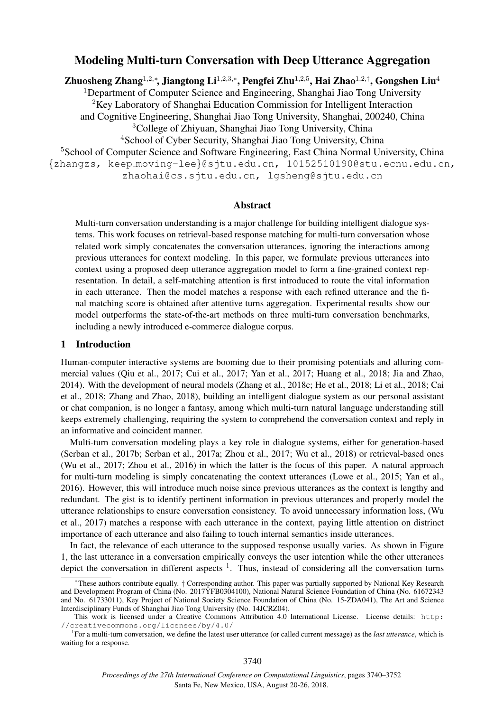# Modeling Multi-turn Conversation with Deep Utterance Aggregation

Zhuosheng Zhang $^{1,2,\ast},$  Jiangtong Li $^{1,2,3,\ast},$  Pengfei Zhu $^{1,2,5},$  Hai Zhao $^{1,2,\dag},$  Gongshen Liu $^4$ 

<sup>1</sup>Department of Computer Science and Engineering, Shanghai Jiao Tong University <sup>2</sup>Key Laboratory of Shanghai Education Commission for Intelligent Interaction

and Cognitive Engineering, Shanghai Jiao Tong University, Shanghai, 200240, China

<sup>3</sup>College of Zhiyuan, Shanghai Jiao Tong University, China

<sup>4</sup>School of Cyber Security, Shanghai Jiao Tong University, China

<sup>5</sup>School of Computer Science and Software Engineering, East China Normal University, China {zhangzs, keep moving-lee}@sjtu.edu.cn, 10152510190@stu.ecnu.edu.cn, zhaohai@cs.sjtu.edu.cn, lgsheng@sjtu.edu.cn

#### Abstract

Multi-turn conversation understanding is a major challenge for building intelligent dialogue systems. This work focuses on retrieval-based response matching for multi-turn conversation whose related work simply concatenates the conversation utterances, ignoring the interactions among previous utterances for context modeling. In this paper, we formulate previous utterances into context using a proposed deep utterance aggregation model to form a fine-grained context representation. In detail, a self-matching attention is first introduced to route the vital information in each utterance. Then the model matches a response with each refined utterance and the final matching score is obtained after attentive turns aggregation. Experimental results show our model outperforms the state-of-the-art methods on three multi-turn conversation benchmarks, including a newly introduced e-commerce dialogue corpus.

## 1 Introduction

Human-computer interactive systems are booming due to their promising potentials and alluring commercial values (Qiu et al., 2017; Cui et al., 2017; Yan et al., 2017; Huang et al., 2018; Jia and Zhao, 2014). With the development of neural models (Zhang et al., 2018c; He et al., 2018; Li et al., 2018; Cai et al., 2018; Zhang and Zhao, 2018), building an intelligent dialogue system as our personal assistant or chat companion, is no longer a fantasy, among which multi-turn natural language understanding still keeps extremely challenging, requiring the system to comprehend the conversation context and reply in an informative and coincident manner.

Multi-turn conversation modeling plays a key role in dialogue systems, either for generation-based (Serban et al., 2017b; Serban et al., 2017a; Zhou et al., 2017; Wu et al., 2018) or retrieval-based ones (Wu et al., 2017; Zhou et al., 2016) in which the latter is the focus of this paper. A natural approach for multi-turn modeling is simply concatenating the context utterances (Lowe et al., 2015; Yan et al., 2016). However, this will introduce much noise since previous utterances as the context is lengthy and redundant. The gist is to identify pertinent information in previous utterances and properly model the utterance relationships to ensure conversation consistency. To avoid unnecessary information loss, (Wu et al., 2017) matches a response with each utterance in the context, paying little attention on distrinct importance of each utterance and also failing to touch internal semantics inside utterances.

In fact, the relevance of each utterance to the supposed response usually varies. As shown in Figure 1, the last utterance in a conversation empirically conveys the user intention while the other utterances depict the conversation in different aspects  $1$ . Thus, instead of considering all the conversation turns

These authors contribute equally. † Corresponding author. This paper was partially supported by National Key Research and Development Program of China (No. 2017YFB0304100), National Natural Science Foundation of China (No. 61672343 and No. 61733011), Key Project of National Society Science Foundation of China (No. 15-ZDA041), The Art and Science Interdisciplinary Funds of Shanghai Jiao Tong University (No. 14JCRZ04).

This work is licensed under a Creative Commons Attribution 4.0 International License. License details: http: //creativecommons.org/licenses/by/4.0/

<sup>&</sup>lt;sup>1</sup>For a multi-turn conversation, we define the latest user utterance (or called current message) as the *last utterance*, which is waiting for a response.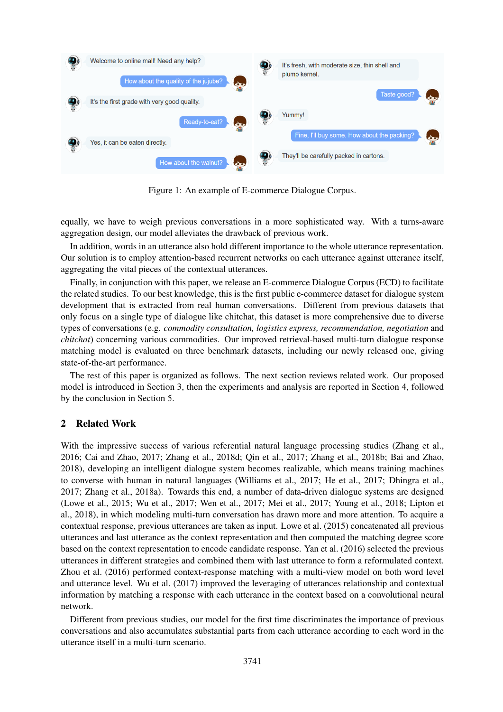

Figure 1: An example of E-commerce Dialogue Corpus.

equally, we have to weigh previous conversations in a more sophisticated way. With a turns-aware aggregation design, our model alleviates the drawback of previous work.

In addition, words in an utterance also hold different importance to the whole utterance representation. Our solution is to employ attention-based recurrent networks on each utterance against utterance itself, aggregating the vital pieces of the contextual utterances.

Finally, in conjunction with this paper, we release an E-commerce Dialogue Corpus (ECD) to facilitate the related studies. To our best knowledge, this is the first public e-commerce dataset for dialogue system development that is extracted from real human conversations. Different from previous datasets that only focus on a single type of dialogue like chitchat, this dataset is more comprehensive due to diverse types of conversations (e.g. *commodity consultation, logistics express, recommendation, negotiation* and *chitchat*) concerning various commodities. Our improved retrieval-based multi-turn dialogue response matching model is evaluated on three benchmark datasets, including our newly released one, giving state-of-the-art performance.

The rest of this paper is organized as follows. The next section reviews related work. Our proposed model is introduced in Section 3, then the experiments and analysis are reported in Section 4, followed by the conclusion in Section 5.

# 2 Related Work

With the impressive success of various referential natural language processing studies (Zhang et al., 2016; Cai and Zhao, 2017; Zhang et al., 2018d; Qin et al., 2017; Zhang et al., 2018b; Bai and Zhao, 2018), developing an intelligent dialogue system becomes realizable, which means training machines to converse with human in natural languages (Williams et al., 2017; He et al., 2017; Dhingra et al., 2017; Zhang et al., 2018a). Towards this end, a number of data-driven dialogue systems are designed (Lowe et al., 2015; Wu et al., 2017; Wen et al., 2017; Mei et al., 2017; Young et al., 2018; Lipton et al., 2018), in which modeling multi-turn conversation has drawn more and more attention. To acquire a contextual response, previous utterances are taken as input. Lowe et al. (2015) concatenated all previous utterances and last utterance as the context representation and then computed the matching degree score based on the context representation to encode candidate response. Yan et al. (2016) selected the previous utterances in different strategies and combined them with last utterance to form a reformulated context. Zhou et al. (2016) performed context-response matching with a multi-view model on both word level and utterance level. Wu et al. (2017) improved the leveraging of utterances relationship and contextual information by matching a response with each utterance in the context based on a convolutional neural network.

Different from previous studies, our model for the first time discriminates the importance of previous conversations and also accumulates substantial parts from each utterance according to each word in the utterance itself in a multi-turn scenario.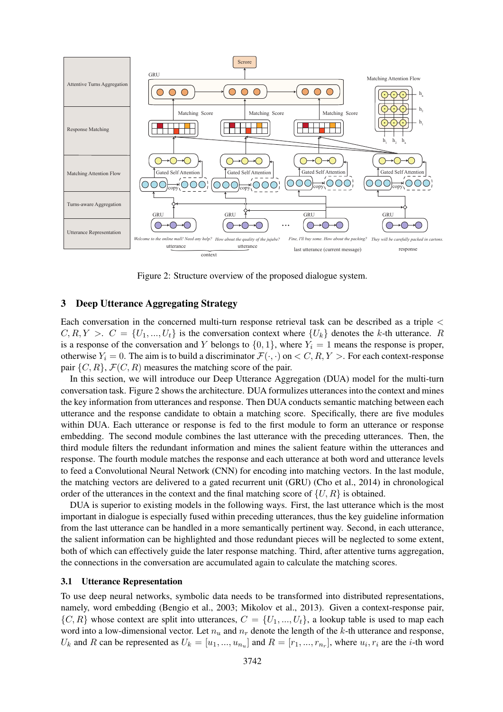

Figure 2: Structure overview of the proposed dialogue system.

## 3 Deep Utterance Aggregating Strategy

Each conversation in the concerned multi-turn response retrieval task can be described as a triple <  $C, R, Y > C = \{U_1, ..., U_t\}$  is the conversation context where  $\{U_k\}$  denotes the k-th utterance. R is a response of the conversation and Y belongs to  $\{0, 1\}$ , where  $Y_i = 1$  means the response is proper, otherwise  $Y_i = 0$ . The aim is to build a discriminator  $\mathcal{F}(\cdot, \cdot)$  on  $\lt C, R, Y >$ . For each context-response pair  $\{C, R\}$ ,  $\mathcal{F}(C, R)$  measures the matching score of the pair.

In this section, we will introduce our Deep Utterance Aggregation (DUA) model for the multi-turn conversation task. Figure 2 shows the architecture. DUA formulizes utterances into the context and mines the key information from utterances and response. Then DUA conducts semantic matching between each utterance and the response candidate to obtain a matching score. Specifically, there are five modules within DUA. Each utterance or response is fed to the first module to form an utterance or response embedding. The second module combines the last utterance with the preceding utterances. Then, the third module filters the redundant information and mines the salient feature within the utterances and response. The fourth module matches the response and each utterance at both word and utterance levels to feed a Convolutional Neural Network (CNN) for encoding into matching vectors. In the last module, the matching vectors are delivered to a gated recurrent unit (GRU) (Cho et al., 2014) in chronological order of the utterances in the context and the final matching score of  $\{U, R\}$  is obtained.

DUA is superior to existing models in the following ways. First, the last utterance which is the most important in dialogue is especially fused within preceding utterances, thus the key guideline information from the last utterance can be handled in a more semantically pertinent way. Second, in each utterance, the salient information can be highlighted and those redundant pieces will be neglected to some extent, both of which can effectively guide the later response matching. Third, after attentive turns aggregation, the connections in the conversation are accumulated again to calculate the matching scores.

#### 3.1 Utterance Representation

To use deep neural networks, symbolic data needs to be transformed into distributed representations, namely, word embedding (Bengio et al., 2003; Mikolov et al., 2013). Given a context-response pair,  $\{C, R\}$  whose context are split into utterances,  $C = \{U_1, ..., U_t\}$ , a lookup table is used to map each word into a low-dimensional vector. Let  $n_u$  and  $n_r$  denote the length of the k-th utterance and response,  $U_k$  and R can be represented as  $U_k = [u_1, ..., u_{n_u}]$  and  $R = [r_1, ..., r_{n_r}]$ , where  $u_i, r_i$  are the *i*-th word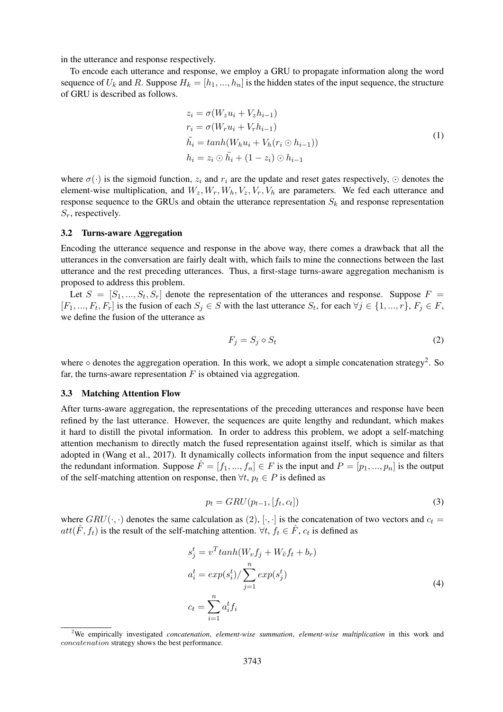in the utterance and response respectively.

To encode each utterance and response, we employ a GRU to propagate information along the word sequence of  $U_k$  and R. Suppose  $H_k = [h_1, ..., h_n]$  is the hidden states of the input sequence, the structure of GRU is described as follows.

$$
z_i = \sigma(W_z u_i + V_z h_{i-1})
$$
  
\n
$$
r_i = \sigma(W_r u_i + V_r h_{i-1})
$$
  
\n
$$
\tilde{h}_i = \tanh(W_h u_i + V_h (r_i \odot h_{i-1}))
$$
  
\n
$$
h_i = z_i \odot \tilde{h}_i + (1 - z_i) \odot h_{i-1}
$$
\n(1)

where  $\sigma(\cdot)$  is the sigmoid function,  $z_i$  and  $r_i$  are the update and reset gates respectively,  $\odot$  denotes the element-wise multiplication, and  $W_z, W_r, W_h, V_z, V_r, V_h$  are parameters. We fed each utterance and response sequence to the GRUs and obtain the utterance representation  $S_k$  and response representation  $S_r$ , respectively.

#### 3.2 Turns-aware Aggregation

Encoding the utterance sequence and response in the above way, there comes a drawback that all the utterances in the conversation are fairly dealt with, which fails to mine the connections between the last utterance and the rest preceding utterances. Thus, a first-stage turns-aware aggregation mechanism is proposed to address this problem.

Let  $S = [S_1, ..., S_t, S_r]$  denote the representation of the utterances and response. Suppose  $F =$  $[F_1, ..., F_t, F_r]$  is the fusion of each  $S_j \in S$  with the last utterance  $S_t$ , for each  $\forall j \in \{1, ..., r\}$ ,  $F_j \in F$ , we define the fusion of the utterance as

$$
F_j = S_j \diamond S_t \tag{2}
$$

where  $\diamond$  denotes the aggregation operation. In this work, we adopt a simple concatenation strategy<sup>2</sup>. So far, the turns-aware representation  $F$  is obtained via aggregation.

#### 3.3 Matching Attention Flow

After turns-aware aggregation, the representations of the preceding utterances and response have been refined by the last utterance. However, the sequences are quite lengthy and redundant, which makes it hard to distill the pivotal information. In order to address this problem, we adopt a self-matching attention mechanism to directly match the fused representation against itself, which is similar as that adopted in (Wang et al., 2017). It dynamically collects information from the input sequence and filters the redundant information. Suppose  $\hat{F} = [f_1, ..., f_n] \in F$  is the input and  $P = [p_1, ..., p_n]$  is the output of the self-matching attention on response, then  $\forall t, p_t \in P$  is defined as

$$
p_t = GRU(p_{t-1}, [f_t, c_t])
$$
\n
$$
(3)
$$

where  $GRU(\cdot, \cdot)$  denotes the same calculation as  $(2), [\cdot, \cdot]$  is the concatenation of two vectors and  $c_t =$  $att(\hat{F}, f_t)$  is the result of the self-matching attention.  $\forall t, f_t \in \hat{F}$ ,  $c_t$  is defined as

$$
s_j^t = v^T \tanh(W_v f_j + W_{\tilde{v}} f_t + b_r)
$$
  
\n
$$
a_i^t = \exp(s_i^t) / \sum_{j=1}^n \exp(s_j^t)
$$
  
\n
$$
c_t = \sum_{i=1}^n a_i^t f_i
$$
\n(4)

<sup>2</sup>We empirically investigated *concatenation*, *element-wise summation*, *element-wise multiplication* in this work and concatenation strategy shows the best performance.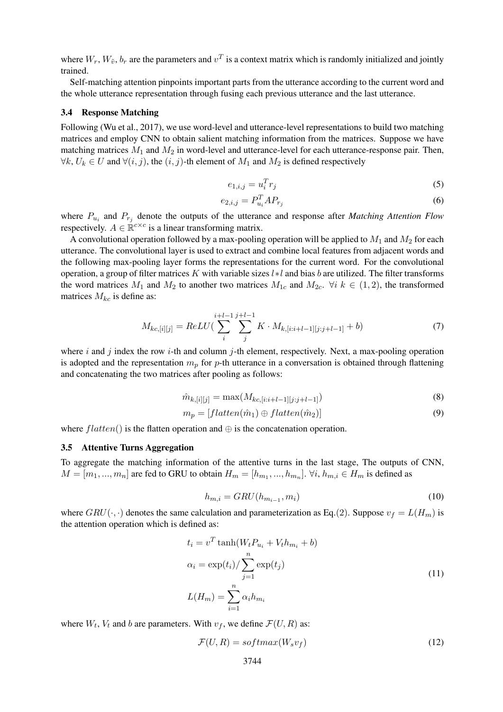where  $W_r$ ,  $W_{\tilde{v}}$ ,  $b_r$  are the parameters and  $v^T$  is a context matrix which is randomly initialized and jointly trained.

Self-matching attention pinpoints important parts from the utterance according to the current word and the whole utterance representation through fusing each previous utterance and the last utterance.

#### 3.4 Response Matching

Following (Wu et al., 2017), we use word-level and utterance-level representations to build two matching matrices and employ CNN to obtain salient matching information from the matrices. Suppose we have matching matrices  $M_1$  and  $M_2$  in word-level and utterance-level for each utterance-response pair. Then,  $\forall k, U_k \in U$  and  $\forall (i, j)$ , the  $(i, j)$ -th element of  $M_1$  and  $M_2$  is defined respectively

$$
e_{1,i,j} = u_i^T r_j \tag{5}
$$

$$
e_{2,i,j} = P_{u_i}^T A P_{r_j} \tag{6}
$$

where  $P_{u_i}$  and  $P_{r_j}$  denote the outputs of the utterance and response after *Matching Attention Flow* respectively.  $A \in \mathbb{R}^{c \times c}$  is a linear transforming matrix.

A convolutional operation followed by a max-pooling operation will be applied to  $M_1$  and  $M_2$  for each utterance. The convolutional layer is used to extract and combine local features from adjacent words and the following max-pooling layer forms the representations for the current word. For the convolutional operation, a group of filter matrices K with variable sizes l∗l and bias b are utilized. The filter transforms the word matrices  $M_1$  and  $M_2$  to another two matrices  $M_{1c}$  and  $M_{2c}$ .  $\forall i \; k \in (1, 2)$ , the transformed matrices  $M_{kc}$  is define as:

$$
M_{kc,[i][j]} = ReLU(\sum_{i}^{i+l-1} \sum_{j}^{j+l-1} K \cdot M_{k,[i:i+l-1][j:j+l-1]} + b)
$$
\n(7)

where i and j index the row i-th and column j-th element, respectively. Next, a max-pooling operation is adopted and the representation  $m_p$  for p-th utterance in a conversation is obtained through flattening and concatenating the two matrices after pooling as follows:

$$
\hat{m}_{k,[i][j]} = \max(M_{kc,[i:i+l-1][j:j+l-1]})\tag{8}
$$

$$
m_p = [flatten(\hat{m}_1) \oplus flatten(\hat{m}_2)] \tag{9}
$$

where  $flatten()$  is the flatten operation and  $\oplus$  is the concatenation operation.

## 3.5 Attentive Turns Aggregation

To aggregate the matching information of the attentive turns in the last stage, The outputs of CNN,  $M = [m_1, ..., m_n]$  are fed to GRU to obtain  $H_m = [h_{m_1}, ..., h_{m_n}]$ .  $\forall i, h_{m,i} \in H_m$  is defined as

$$
h_{m,i} = GRU(h_{m_{i-1}}, m_i) \tag{10}
$$

where  $GRU(\cdot, \cdot)$  denotes the same calculation and parameterization as Eq.(2). Suppose  $v_f = L(H_m)$  is the attention operation which is defined as:

$$
t_i = v^T \tanh(W_t P_{u_i} + V_t h_{m_i} + b)
$$
  
\n
$$
\alpha_i = \exp(t_i) / \sum_{j=1}^n \exp(t_j)
$$
  
\n
$$
L(H_m) = \sum_{i=1}^n \alpha_i h_{m_i}
$$
\n(11)

where  $W_t$ ,  $V_t$  and b are parameters. With  $v_f$ , we define  $\mathcal{F}(U, R)$  as:

$$
\mathcal{F}(U,R) = softmax(W_s v_f) \tag{12}
$$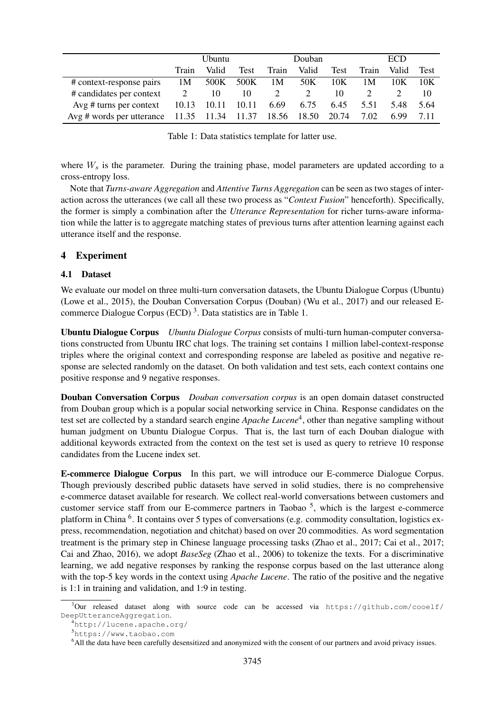|                                                               | <b>Ubuntu</b> |       |             | Douban |       |      | <b>ECD</b> |       |      |
|---------------------------------------------------------------|---------------|-------|-------------|--------|-------|------|------------|-------|------|
|                                                               | Train         | Valid | <b>Test</b> | Train  | Valid | Test | Train      | Valid | Test |
| # context-response pairs                                      | 1M            | 500K  | 500K        | 1M     | 50K   | 10K  | 1 M        | 10K   | 10K  |
| # candidates per context                                      | 2             | 10    | 10          | 2      | 2     | 10   |            |       | 10   |
| Avg # turns per context $10.13$ 10.11 10.11                   |               |       |             | 6.69   | 6.75  | 6.45 | 5.51       | 5.48  | 5.64 |
| Avg # words per utterance 11.35 11.34 11.37 18.56 18.50 20.74 |               |       |             |        |       |      | 7.02       | 6.99  | 7.11 |

Table 1: Data statistics template for latter use.

where  $W_s$  is the parameter. During the training phase, model parameters are updated according to a cross-entropy loss.

Note that *Turns-aware Aggregation* and *Attentive Turns Aggregation* can be seen as two stages of interaction across the utterances (we call all these two process as "*Context Fusion*" henceforth). Specifically, the former is simply a combination after the *Utterance Representation* for richer turns-aware information while the latter is to aggregate matching states of previous turns after attention learning against each utterance itself and the response.

# 4 Experiment

## 4.1 Dataset

We evaluate our model on three multi-turn conversation datasets, the Ubuntu Dialogue Corpus (Ubuntu) (Lowe et al., 2015), the Douban Conversation Corpus (Douban) (Wu et al., 2017) and our released Ecommerce Dialogue Corpus (ECD)<sup>3</sup>. Data statistics are in Table 1.

Ubuntu Dialogue Corpus *Ubuntu Dialogue Corpus* consists of multi-turn human-computer conversations constructed from Ubuntu IRC chat logs. The training set contains 1 million label-context-response triples where the original context and corresponding response are labeled as positive and negative response are selected randomly on the dataset. On both validation and test sets, each context contains one positive response and 9 negative responses.

Douban Conversation Corpus *Douban conversation corpus* is an open domain dataset constructed from Douban group which is a popular social networking service in China. Response candidates on the test set are collected by a standard search engine *Apache Lucene*<sup>4</sup>, other than negative sampling without human judgment on Ubuntu Dialogue Corpus. That is, the last turn of each Douban dialogue with additional keywords extracted from the context on the test set is used as query to retrieve 10 response candidates from the Lucene index set.

E-commerce Dialogue Corpus In this part, we will introduce our E-commerce Dialogue Corpus. Though previously described public datasets have served in solid studies, there is no comprehensive e-commerce dataset available for research. We collect real-world conversations between customers and customer service staff from our E-commerce partners in Taobao<sup>5</sup>, which is the largest e-commerce platform in China <sup>6</sup>. It contains over 5 types of conversations (e.g. commodity consultation, logistics express, recommendation, negotiation and chitchat) based on over 20 commodities. As word segmentation treatment is the primary step in Chinese language processing tasks (Zhao et al., 2017; Cai et al., 2017; Cai and Zhao, 2016), we adopt *BaseSeg* (Zhao et al., 2006) to tokenize the texts. For a discriminative learning, we add negative responses by ranking the response corpus based on the last utterance along with the top-5 key words in the context using *Apache Lucene*. The ratio of the positive and the negative is 1:1 in training and validation, and 1:9 in testing.

 $3$ Our released dataset along with source code can be accessed via https://github.com/cooelf/ DeepUtteranceAggregation.

<sup>4</sup>http://lucene.apache.org/

<sup>5</sup>https://www.taobao.com

<sup>6</sup>All the data have been carefully desensitized and anonymized with the consent of our partners and avoid privacy issues.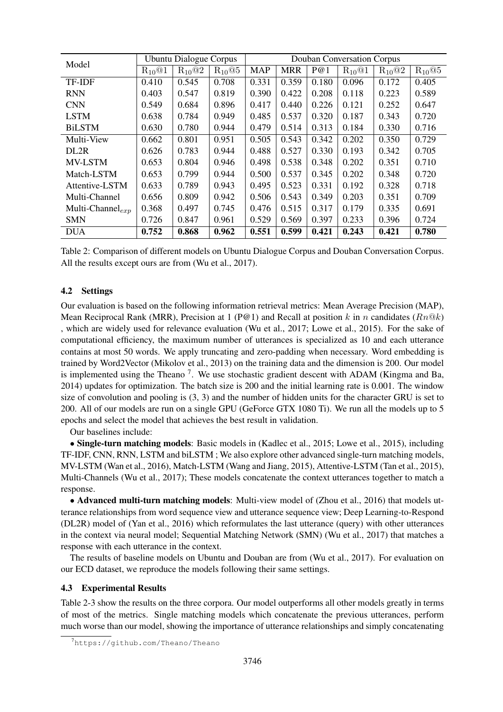| Model                  | <b>Ubuntu Dialogue Corpus</b> |             |             | Douban Conversation Corpus |            |       |                                     |             |             |
|------------------------|-------------------------------|-------------|-------------|----------------------------|------------|-------|-------------------------------------|-------------|-------------|
|                        | $R_{10}$ <sup>(e)</sup> 1     | $R_{10}$ @2 | $R_{10}$ @5 | <b>MAP</b>                 | <b>MRR</b> | P@1   | $R_{10}$ <sup><math>@1</math></sup> | $R_{10}$ @2 | $R_{10}$ @5 |
| TF-IDF                 | 0.410                         | 0.545       | 0.708       | 0.331                      | 0.359      | 0.180 | 0.096                               | 0.172       | 0.405       |
| <b>RNN</b>             | 0.403                         | 0.547       | 0.819       | 0.390                      | 0.422      | 0.208 | 0.118                               | 0.223       | 0.589       |
| <b>CNN</b>             | 0.549                         | 0.684       | 0.896       | 0.417                      | 0.440      | 0.226 | 0.121                               | 0.252       | 0.647       |
| <b>LSTM</b>            | 0.638                         | 0.784       | 0.949       | 0.485                      | 0.537      | 0.320 | 0.187                               | 0.343       | 0.720       |
| <b>BiLSTM</b>          | 0.630                         | 0.780       | 0.944       | 0.479                      | 0.514      | 0.313 | 0.184                               | 0.330       | 0.716       |
| Multi-View             | 0.662                         | 0.801       | 0.951       | 0.505                      | 0.543      | 0.342 | 0.202                               | 0.350       | 0.729       |
| DL2R                   | 0.626                         | 0.783       | 0.944       | 0.488                      | 0.527      | 0.330 | 0.193                               | 0.342       | 0.705       |
| MV-LSTM                | 0.653                         | 0.804       | 0.946       | 0.498                      | 0.538      | 0.348 | 0.202                               | 0.351       | 0.710       |
| Match-LSTM             | 0.653                         | 0.799       | 0.944       | 0.500                      | 0.537      | 0.345 | 0.202                               | 0.348       | 0.720       |
| Attentive-LSTM         | 0.633                         | 0.789       | 0.943       | 0.495                      | 0.523      | 0.331 | 0.192                               | 0.328       | 0.718       |
| Multi-Channel          | 0.656                         | 0.809       | 0.942       | 0.506                      | 0.543      | 0.349 | 0.203                               | 0.351       | 0.709       |
| Multi-Channel $_{exp}$ | 0.368                         | 0.497       | 0.745       | 0.476                      | 0.515      | 0.317 | 0.179                               | 0.335       | 0.691       |
| <b>SMN</b>             | 0.726                         | 0.847       | 0.961       | 0.529                      | 0.569      | 0.397 | 0.233                               | 0.396       | 0.724       |
| <b>DUA</b>             | 0.752                         | 0.868       | 0.962       | 0.551                      | 0.599      | 0.421 | 0.243                               | 0.421       | 0.780       |

Table 2: Comparison of different models on Ubuntu Dialogue Corpus and Douban Conversation Corpus. All the results except ours are from (Wu et al., 2017).

# 4.2 Settings

Our evaluation is based on the following information retrieval metrics: Mean Average Precision (MAP), Mean Reciprocal Rank (MRR), Precision at 1 (P@1) and Recall at position k in n candidates ( $Rn@k$ ) , which are widely used for relevance evaluation (Wu et al., 2017; Lowe et al., 2015). For the sake of computational efficiency, the maximum number of utterances is specialized as 10 and each utterance contains at most 50 words. We apply truncating and zero-padding when necessary. Word embedding is trained by Word2Vector (Mikolov et al., 2013) on the training data and the dimension is 200. Our model is implemented using the Theano<sup>7</sup>. We use stochastic gradient descent with ADAM (Kingma and Ba, 2014) updates for optimization. The batch size is 200 and the initial learning rate is 0.001. The window size of convolution and pooling is (3, 3) and the number of hidden units for the character GRU is set to 200. All of our models are run on a single GPU (GeForce GTX 1080 Ti). We run all the models up to 5 epochs and select the model that achieves the best result in validation.

Our baselines include:

• Single-turn matching models: Basic models in (Kadlec et al., 2015; Lowe et al., 2015), including TF-IDF, CNN, RNN, LSTM and biLSTM ; We also explore other advanced single-turn matching models, MV-LSTM (Wan et al., 2016), Match-LSTM (Wang and Jiang, 2015), Attentive-LSTM (Tan et al., 2015), Multi-Channels (Wu et al., 2017); These models concatenate the context utterances together to match a response.

• Advanced multi-turn matching models: Multi-view model of (Zhou et al., 2016) that models utterance relationships from word sequence view and utterance sequence view; Deep Learning-to-Respond (DL2R) model of (Yan et al., 2016) which reformulates the last utterance (query) with other utterances in the context via neural model; Sequential Matching Network (SMN) (Wu et al., 2017) that matches a response with each utterance in the context.

The results of baseline models on Ubuntu and Douban are from (Wu et al., 2017). For evaluation on our ECD dataset, we reproduce the models following their same settings.

## 4.3 Experimental Results

Table 2-3 show the results on the three corpora. Our model outperforms all other models greatly in terms of most of the metrics. Single matching models which concatenate the previous utterances, perform much worse than our model, showing the importance of utterance relationships and simply concatenating

<sup>7</sup>https://github.com/Theano/Theano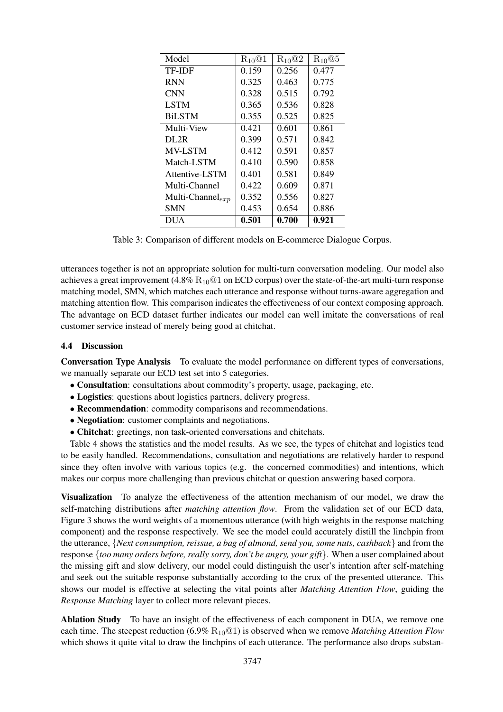| Model                  | $R_{10}$ @1 | $R_{10}$ <sup>@2</sup> | $R_{10}@5$ |
|------------------------|-------------|------------------------|------------|
| <b>TF-IDF</b>          | 0.159       | 0.256                  | 0.477      |
| <b>RNN</b>             | 0.325       | 0.463                  | 0.775      |
| <b>CNN</b>             | 0.328       | 0.515                  | 0.792      |
| <b>LSTM</b>            | 0.365       | 0.536                  | 0.828      |
| <b>BiLSTM</b>          | 0.355       | 0.525                  | 0.825      |
| Multi-View             | 0.421       | 0.601                  | 0.861      |
| DL2R                   | 0.399       | 0.571                  | 0.842      |
| <b>MV-LSTM</b>         | 0.412       | 0.591                  | 0.857      |
| Match-LSTM             | 0.410       | 0.590                  | 0.858      |
| Attentive-LSTM         | 0.401       | 0.581                  | 0.849      |
| Multi-Channel          | 0.422       | 0.609                  | 0.871      |
| Multi-Channel $_{exp}$ | 0.352       | 0.556                  | 0.827      |
| <b>SMN</b>             | 0.453       | 0.654                  | 0.886      |
| DUA                    | 0.501       | 0.700                  | 0.921      |

Table 3: Comparison of different models on E-commerce Dialogue Corpus.

utterances together is not an appropriate solution for multi-turn conversation modeling. Our model also achieves a great improvement  $(4.8\% \ R_{10}@1$  on ECD corpus) over the state-of-the-art multi-turn response matching model, SMN, which matches each utterance and response without turns-aware aggregation and matching attention flow. This comparison indicates the effectiveness of our context composing approach. The advantage on ECD dataset further indicates our model can well imitate the conversations of real customer service instead of merely being good at chitchat.

# 4.4 Discussion

Conversation Type Analysis To evaluate the model performance on different types of conversations, we manually separate our ECD test set into 5 categories.

- Consultation: consultations about commodity's property, usage, packaging, etc.
- Logistics: questions about logistics partners, delivery progress.
- Recommendation: commodity comparisons and recommendations.
- Negotiation: customer complaints and negotiations.
- Chitchat: greetings, non task-oriented conversations and chitchats.

Table 4 shows the statistics and the model results. As we see, the types of chitchat and logistics tend to be easily handled. Recommendations, consultation and negotiations are relatively harder to respond since they often involve with various topics (e.g. the concerned commodities) and intentions, which makes our corpus more challenging than previous chitchat or question answering based corpora.

Visualization To analyze the effectiveness of the attention mechanism of our model, we draw the self-matching distributions after *matching attention flow*. From the validation set of our ECD data, Figure 3 shows the word weights of a momentous utterance (with high weights in the response matching component) and the response respectively. We see the model could accurately distill the linchpin from the utterance, {*Next consumption, reissue, a bag of almond, send you, some nuts, cashback*} and from the response {*too many orders before, really sorry, don't be angry, your gift*}. When a user complained about the missing gift and slow delivery, our model could distinguish the user's intention after self-matching and seek out the suitable response substantially according to the crux of the presented utterance. This shows our model is effective at selecting the vital points after *Matching Attention Flow*, guiding the *Response Matching* layer to collect more relevant pieces.

Ablation Study To have an insight of the effectiveness of each component in DUA, we remove one each time. The steepest reduction (6.9% R<sub>10</sub><sup>@1</sup>) is observed when we remove *Matching Attention Flow* which shows it quite vital to draw the linchpins of each utterance. The performance also drops substan-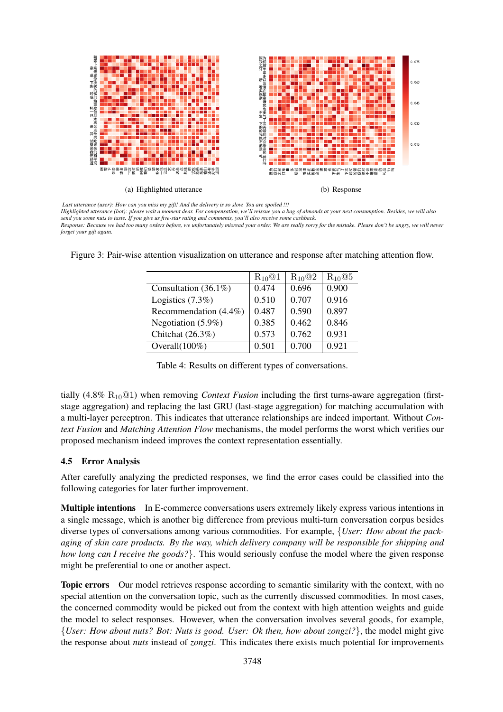

*Last utterance (user): How can you miss my gift! And the delivery is so slow. You are spoiled !!!*

*Highlighted utterance (bot): please wait a moment dear. For compensation, we'll reissue you a bag of almonds at your next consumption. Besides, we will also send you some nuts to taste. If you give us five-star rating and comments, you'll also receive some cashback.*

*Response: Because we had too many orders before, we unfortunately misread your order. We are really sorry for the mistake. Please don't be angry, we will never forget your gift again.*

Figure 3: Pair-wise attention visualization on utterance and response after matching attention flow.

|                          | $R_{10}$ <sup><math>@1</math></sup> | $R_{10}$ @2 | $R_{10}$ @5 |
|--------------------------|-------------------------------------|-------------|-------------|
| Consultation $(36.1\%)$  | 0.474                               | 0.696       | 0.900       |
| Logistics $(7.3\%)$      | 0.510                               | 0.707       | 0.916       |
| Recommendation $(4.4\%)$ | 0.487                               | 0.590       | 0.897       |
| Negotiation (5.9%)       | 0.385                               | 0.462       | 0.846       |
| Chitchat (26.3%)         | 0.573                               | 0.762       | 0.931       |
| Overall $(100\%)$        | 0.501                               | 0.700       | 0.921       |

Table 4: Results on different types of conversations.

tially (4.8% R10@1) when removing *Context Fusion* including the first turns-aware aggregation (firststage aggregation) and replacing the last GRU (last-stage aggregation) for matching accumulation with a multi-layer perceptron. This indicates that utterance relationships are indeed important. Without *Context Fusion* and *Matching Attention Flow* mechanisms, the model performs the worst which verifies our proposed mechanism indeed improves the context representation essentially.

# 4.5 Error Analysis

After carefully analyzing the predicted responses, we find the error cases could be classified into the following categories for later further improvement.

Multiple intentions In E-commerce conversations users extremely likely express various intentions in a single message, which is another big difference from previous multi-turn conversation corpus besides diverse types of conversations among various commodities. For example, {*User: How about the packaging of skin care products. By the way, which delivery company will be responsible for shipping and how long can I receive the goods?*}. This would seriously confuse the model where the given response might be preferential to one or another aspect.

Topic errors Our model retrieves response according to semantic similarity with the context, with no special attention on the conversation topic, such as the currently discussed commodities. In most cases, the concerned commodity would be picked out from the context with high attention weights and guide the model to select responses. However, when the conversation involves several goods, for example, {*User: How about nuts? Bot: Nuts is good. User: Ok then, how about zongzi?*}, the model might give the response about *nuts* instead of *zongzi*. This indicates there exists much potential for improvements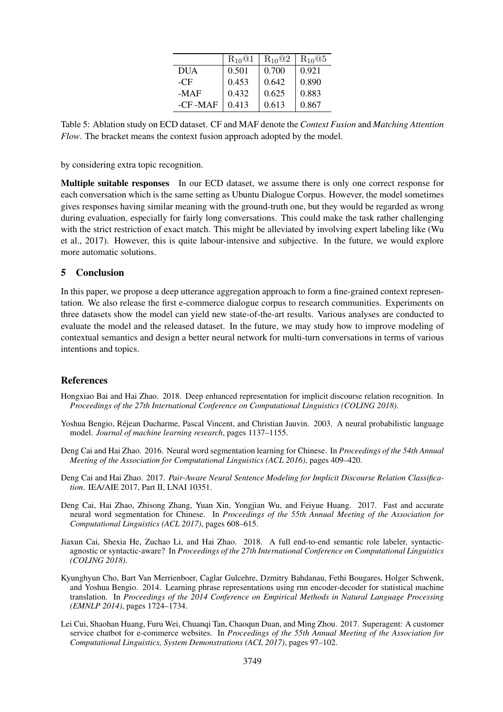|            | $R_{10}$ <sup><math>@1</math></sup> | $R_{10}$ @2 | $R_{10}$ <sup><math>@5</math></sup> |
|------------|-------------------------------------|-------------|-------------------------------------|
| <b>DUA</b> | 0.501                               | 0.700       | 0.921                               |
| $-CF$      | 0.453                               | 0.642       | 0.890                               |
| $-MAF$     | 0.432                               | 0.625       | 0.883                               |
| -CF-MAF    | 0.413                               | 0.613       | 0.867                               |

Table 5: Ablation study on ECD dataset. CF and MAF denote the *Context Fusion* and *Matching Attention Flow*. The bracket means the context fusion approach adopted by the model.

by considering extra topic recognition.

Multiple suitable responses In our ECD dataset, we assume there is only one correct response for each conversation which is the same setting as Ubuntu Dialogue Corpus. However, the model sometimes gives responses having similar meaning with the ground-truth one, but they would be regarded as wrong during evaluation, especially for fairly long conversations. This could make the task rather challenging with the strict restriction of exact match. This might be alleviated by involving expert labeling like (Wu et al., 2017). However, this is quite labour-intensive and subjective. In the future, we would explore more automatic solutions.

# 5 Conclusion

In this paper, we propose a deep utterance aggregation approach to form a fine-grained context representation. We also release the first e-commerce dialogue corpus to research communities. Experiments on three datasets show the model can yield new state-of-the-art results. Various analyses are conducted to evaluate the model and the released dataset. In the future, we may study how to improve modeling of contextual semantics and design a better neural network for multi-turn conversations in terms of various intentions and topics.

# References

- Hongxiao Bai and Hai Zhao. 2018. Deep enhanced representation for implicit discourse relation recognition. In *Proceedings of the 27th International Conference on Computational Linguistics (COLING 2018)*.
- Yoshua Bengio, Rejean Ducharme, Pascal Vincent, and Christian Jauvin. 2003. A neural probabilistic language ´ model. *Journal of machine learning research*, pages 1137–1155.
- Deng Cai and Hai Zhao. 2016. Neural word segmentation learning for Chinese. In *Proceedings of the 54th Annual Meeting of the Association for Computational Linguistics (ACL 2016)*, pages 409–420.
- Deng Cai and Hai Zhao. 2017. *Pair-Aware Neural Sentence Modeling for Implicit Discourse Relation Classification*. IEA/AIE 2017, Part II, LNAI 10351.
- Deng Cai, Hai Zhao, Zhisong Zhang, Yuan Xin, Yongjian Wu, and Feiyue Huang. 2017. Fast and accurate neural word segmentation for Chinese. In *Proceedings of the 55th Annual Meeting of the Association for Computational Linguistics (ACL 2017)*, pages 608–615.
- Jiaxun Cai, Shexia He, Zuchao Li, and Hai Zhao. 2018. A full end-to-end semantic role labeler, syntacticagnostic or syntactic-aware? In *Proceedings of the 27th International Conference on Computational Linguistics (COLING 2018)*.
- Kyunghyun Cho, Bart Van Merrienboer, Caglar Gulcehre, Dzmitry Bahdanau, Fethi Bougares, Holger Schwenk, and Yoshua Bengio. 2014. Learning phrase representations using rnn encoder-decoder for statistical machine translation. In *Proceedings of the 2014 Conference on Empirical Methods in Natural Language Processing (EMNLP 2014)*, pages 1724–1734.
- Lei Cui, Shaohan Huang, Furu Wei, Chuanqi Tan, Chaoqun Duan, and Ming Zhou. 2017. Superagent: A customer service chatbot for e-commerce websites. In *Proceedings of the 55th Annual Meeting of the Association for Computational Linguistics, System Demonstrations (ACL 2017)*, pages 97–102.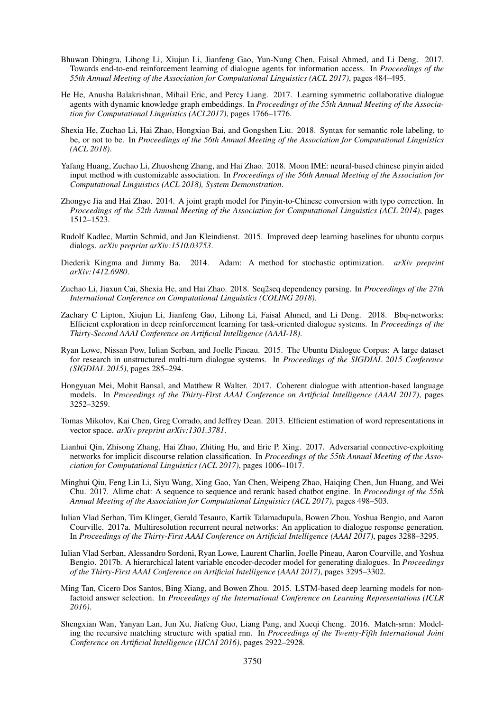- Bhuwan Dhingra, Lihong Li, Xiujun Li, Jianfeng Gao, Yun-Nung Chen, Faisal Ahmed, and Li Deng. 2017. Towards end-to-end reinforcement learning of dialogue agents for information access. In *Proceedings of the 55th Annual Meeting of the Association for Computational Linguistics (ACL 2017)*, pages 484–495.
- He He, Anusha Balakrishnan, Mihail Eric, and Percy Liang. 2017. Learning symmetric collaborative dialogue agents with dynamic knowledge graph embeddings. In *Proceedings of the 55th Annual Meeting of the Association for Computational Linguistics (ACL2017)*, pages 1766–1776.
- Shexia He, Zuchao Li, Hai Zhao, Hongxiao Bai, and Gongshen Liu. 2018. Syntax for semantic role labeling, to be, or not to be. In *Proceedings of the 56th Annual Meeting of the Association for Computational Linguistics (ACL 2018)*.
- Yafang Huang, Zuchao Li, Zhuosheng Zhang, and Hai Zhao. 2018. Moon IME: neural-based chinese pinyin aided input method with customizable association. In *Proceedings of the 56th Annual Meeting of the Association for Computational Linguistics (ACL 2018), System Demonstration*.
- Zhongye Jia and Hai Zhao. 2014. A joint graph model for Pinyin-to-Chinese conversion with typo correction. In *Proceedings of the 52th Annual Meeting of the Association for Computational Linguistics (ACL 2014)*, pages 1512–1523.
- Rudolf Kadlec, Martin Schmid, and Jan Kleindienst. 2015. Improved deep learning baselines for ubuntu corpus dialogs. *arXiv preprint arXiv:1510.03753*.
- Diederik Kingma and Jimmy Ba. 2014. Adam: A method for stochastic optimization. *arXiv preprint arXiv:1412.6980*.
- Zuchao Li, Jiaxun Cai, Shexia He, and Hai Zhao. 2018. Seq2seq dependency parsing. In *Proceedings of the 27th International Conference on Computational Linguistics (COLING 2018)*.
- Zachary C Lipton, Xiujun Li, Jianfeng Gao, Lihong Li, Faisal Ahmed, and Li Deng. 2018. Bbq-networks: Efficient exploration in deep reinforcement learning for task-oriented dialogue systems. In *Proceedings of the Thirty-Second AAAI Conference on Artificial Intelligence (AAAI-18)*.
- Ryan Lowe, Nissan Pow, Iulian Serban, and Joelle Pineau. 2015. The Ubuntu Dialogue Corpus: A large dataset for research in unstructured multi-turn dialogue systems. In *Proceedings of the SIGDIAL 2015 Conference (SIGDIAL 2015)*, pages 285–294.
- Hongyuan Mei, Mohit Bansal, and Matthew R Walter. 2017. Coherent dialogue with attention-based language models. In *Proceedings of the Thirty-First AAAI Conference on Artificial Intelligence (AAAI 2017)*, pages 3252–3259.
- Tomas Mikolov, Kai Chen, Greg Corrado, and Jeffrey Dean. 2013. Efficient estimation of word representations in vector space. *arXiv preprint arXiv:1301.3781*.
- Lianhui Qin, Zhisong Zhang, Hai Zhao, Zhiting Hu, and Eric P. Xing. 2017. Adversarial connective-exploiting networks for implicit discourse relation classification. In *Proceedings of the 55th Annual Meeting of the Association for Computational Linguistics (ACL 2017)*, pages 1006–1017.
- Minghui Qiu, Feng Lin Li, Siyu Wang, Xing Gao, Yan Chen, Weipeng Zhao, Haiqing Chen, Jun Huang, and Wei Chu. 2017. Alime chat: A sequence to sequence and rerank based chatbot engine. In *Proceedings of the 55th Annual Meeting of the Association for Computational Linguistics (ACL 2017)*, pages 498–503.
- Iulian Vlad Serban, Tim Klinger, Gerald Tesauro, Kartik Talamadupula, Bowen Zhou, Yoshua Bengio, and Aaron Courville. 2017a. Multiresolution recurrent neural networks: An application to dialogue response generation. In *Proceedings of the Thirty-First AAAI Conference on Artificial Intelligence (AAAI 2017)*, pages 3288–3295.
- Iulian Vlad Serban, Alessandro Sordoni, Ryan Lowe, Laurent Charlin, Joelle Pineau, Aaron Courville, and Yoshua Bengio. 2017b. A hierarchical latent variable encoder-decoder model for generating dialogues. In *Proceedings of the Thirty-First AAAI Conference on Artificial Intelligence (AAAI 2017)*, pages 3295–3302.
- Ming Tan, Cicero Dos Santos, Bing Xiang, and Bowen Zhou. 2015. LSTM-based deep learning models for nonfactoid answer selection. In *Proceedings of the International Conference on Learning Representations (ICLR 2016)*.
- Shengxian Wan, Yanyan Lan, Jun Xu, Jiafeng Guo, Liang Pang, and Xueqi Cheng. 2016. Match-srnn: Modeling the recursive matching structure with spatial rnn. In *Proceedings of the Twenty-Fifth International Joint Conference on Artificial Intelligence (IJCAI 2016)*, pages 2922–2928.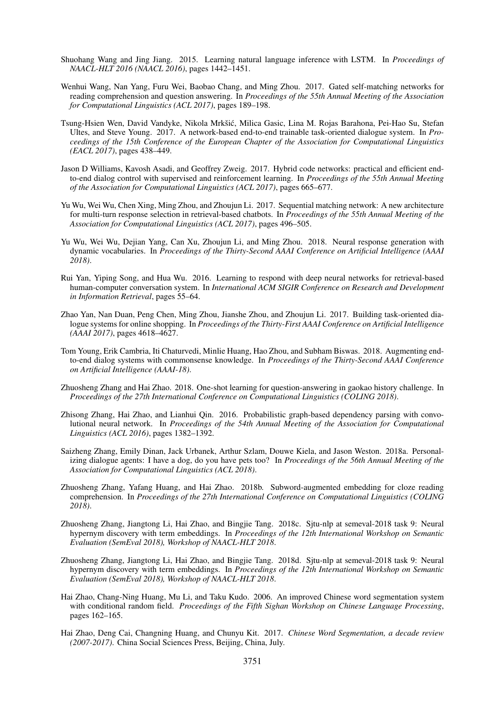- Shuohang Wang and Jing Jiang. 2015. Learning natural language inference with LSTM. In *Proceedings of NAACL-HLT 2016 (NAACL 2016)*, pages 1442–1451.
- Wenhui Wang, Nan Yang, Furu Wei, Baobao Chang, and Ming Zhou. 2017. Gated self-matching networks for reading comprehension and question answering. In *Proceedings of the 55th Annual Meeting of the Association for Computational Linguistics (ACL 2017)*, pages 189–198.
- Tsung-Hsien Wen, David Vandyke, Nikola Mrkšić, Milica Gasic, Lina M. Rojas Barahona, Pei-Hao Su, Stefan Ultes, and Steve Young. 2017. A network-based end-to-end trainable task-oriented dialogue system. In *Proceedings of the 15th Conference of the European Chapter of the Association for Computational Linguistics (EACL 2017)*, pages 438–449.
- Jason D Williams, Kavosh Asadi, and Geoffrey Zweig. 2017. Hybrid code networks: practical and efficient endto-end dialog control with supervised and reinforcement learning. In *Proceedings of the 55th Annual Meeting of the Association for Computational Linguistics (ACL 2017)*, pages 665–677.
- Yu Wu, Wei Wu, Chen Xing, Ming Zhou, and Zhoujun Li. 2017. Sequential matching network: A new architecture for multi-turn response selection in retrieval-based chatbots. In *Proceedings of the 55th Annual Meeting of the Association for Computational Linguistics (ACL 2017)*, pages 496–505.
- Yu Wu, Wei Wu, Dejian Yang, Can Xu, Zhoujun Li, and Ming Zhou. 2018. Neural response generation with dynamic vocabularies. In *Proceedings of the Thirty-Second AAAI Conference on Artificial Intelligence (AAAI 2018)*.
- Rui Yan, Yiping Song, and Hua Wu. 2016. Learning to respond with deep neural networks for retrieval-based human-computer conversation system. In *International ACM SIGIR Conference on Research and Development in Information Retrieval*, pages 55–64.
- Zhao Yan, Nan Duan, Peng Chen, Ming Zhou, Jianshe Zhou, and Zhoujun Li. 2017. Building task-oriented dialogue systems for online shopping. In *Proceedings of the Thirty-First AAAI Conference on Artificial Intelligence (AAAI 2017)*, pages 4618–4627.
- Tom Young, Erik Cambria, Iti Chaturvedi, Minlie Huang, Hao Zhou, and Subham Biswas. 2018. Augmenting endto-end dialog systems with commonsense knowledge. In *Proceedings of the Thirty-Second AAAI Conference on Artificial Intelligence (AAAI-18)*.
- Zhuosheng Zhang and Hai Zhao. 2018. One-shot learning for question-answering in gaokao history challenge. In *Proceedings of the 27th International Conference on Computational Linguistics (COLING 2018)*.
- Zhisong Zhang, Hai Zhao, and Lianhui Qin. 2016. Probabilistic graph-based dependency parsing with convolutional neural network. In *Proceedings of the 54th Annual Meeting of the Association for Computational Linguistics (ACL 2016)*, pages 1382–1392.
- Saizheng Zhang, Emily Dinan, Jack Urbanek, Arthur Szlam, Douwe Kiela, and Jason Weston. 2018a. Personalizing dialogue agents: I have a dog, do you have pets too? In *Proceedings of the 56th Annual Meeting of the Association for Computational Linguistics (ACL 2018)*.
- Zhuosheng Zhang, Yafang Huang, and Hai Zhao. 2018b. Subword-augmented embedding for cloze reading comprehension. In *Proceedings of the 27th International Conference on Computational Linguistics (COLING 2018)*.
- Zhuosheng Zhang, Jiangtong Li, Hai Zhao, and Bingjie Tang. 2018c. Sjtu-nlp at semeval-2018 task 9: Neural hypernym discovery with term embeddings. In *Proceedings of the 12th International Workshop on Semantic Evaluation (SemEval 2018), Workshop of NAACL-HLT 2018*.
- Zhuosheng Zhang, Jiangtong Li, Hai Zhao, and Bingjie Tang. 2018d. Sjtu-nlp at semeval-2018 task 9: Neural hypernym discovery with term embeddings. In *Proceedings of the 12th International Workshop on Semantic Evaluation (SemEval 2018), Workshop of NAACL-HLT 2018*.
- Hai Zhao, Chang-Ning Huang, Mu Li, and Taku Kudo. 2006. An improved Chinese word segmentation system with conditional random field. *Proceedings of the Fifth Sighan Workshop on Chinese Language Processing*, pages 162–165.
- Hai Zhao, Deng Cai, Changning Huang, and Chunyu Kit. 2017. *Chinese Word Segmentation, a decade review (2007-2017)*. China Social Sciences Press, Beijing, China, July.